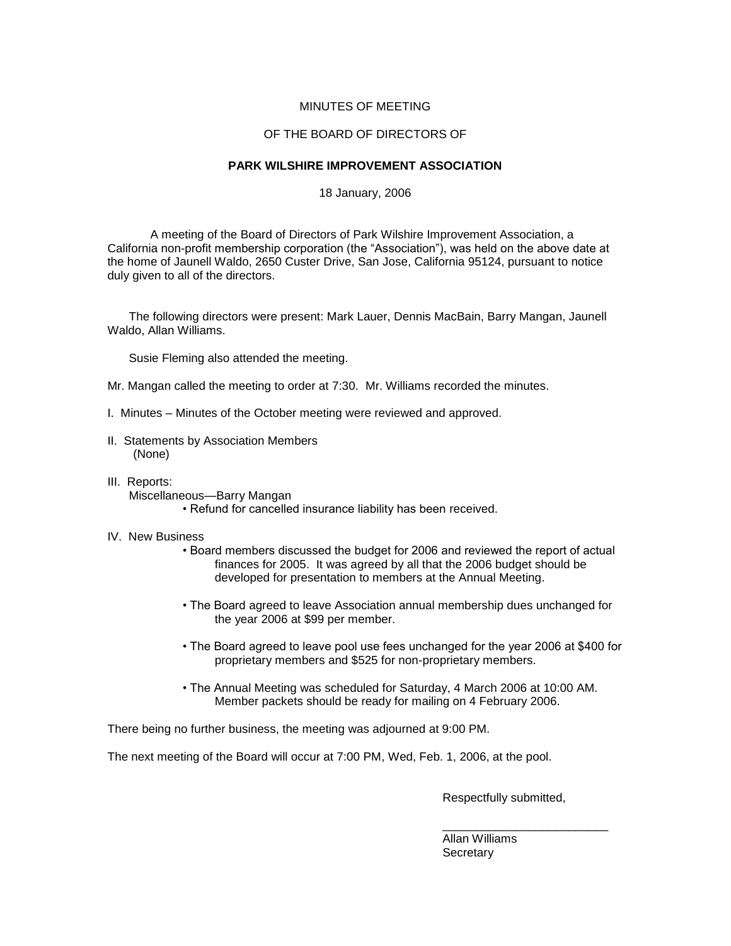## MINUTES OF MEETING

## OF THE BOARD OF DIRECTORS OF

## **PARK WILSHIRE IMPROVEMENT ASSOCIATION**

18 January, 2006

A meeting of the Board of Directors of Park Wilshire Improvement Association, a California non-profit membership corporation (the "Association"), was held on the above date at the home of Jaunell Waldo, 2650 Custer Drive, San Jose, California 95124, pursuant to notice duly given to all of the directors.

The following directors were present: Mark Lauer, Dennis MacBain, Barry Mangan, Jaunell Waldo, Allan Williams.

Susie Fleming also attended the meeting.

Mr. Mangan called the meeting to order at 7:30. Mr. Williams recorded the minutes.

- I. Minutes Minutes of the October meeting were reviewed and approved.
- II. Statements by Association Members (None)
- III. Reports: Miscellaneous—Barry Mangan • Refund for cancelled insurance liability has been received.
- IV. New Business
	- Board members discussed the budget for 2006 and reviewed the report of actual finances for 2005. It was agreed by all that the 2006 budget should be developed for presentation to members at the Annual Meeting.
	- The Board agreed to leave Association annual membership dues unchanged for the year 2006 at \$99 per member.
	- The Board agreed to leave pool use fees unchanged for the year 2006 at \$400 for proprietary members and \$525 for non-proprietary members.
	- The Annual Meeting was scheduled for Saturday, 4 March 2006 at 10:00 AM. Member packets should be ready for mailing on 4 February 2006.

There being no further business, the meeting was adjourned at 9:00 PM.

The next meeting of the Board will occur at 7:00 PM, Wed, Feb. 1, 2006, at the pool.

Respectfully submitted,

\_\_\_\_\_\_\_\_\_\_\_\_\_\_\_\_\_\_\_\_\_\_\_\_\_

Allan Williams **Secretary**